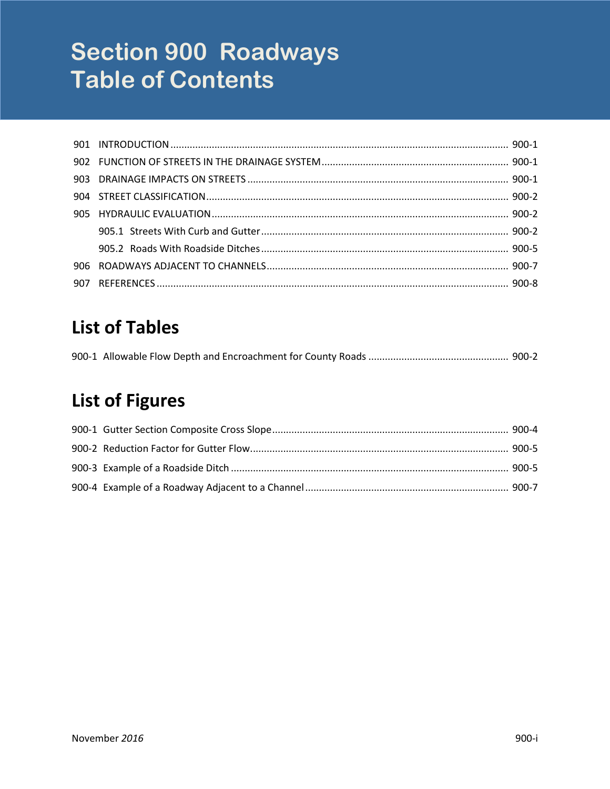# **Section 900 Roadways Table of Contents**

| 907 |  |
|-----|--|

# **List of Tables**

# **List of Figures**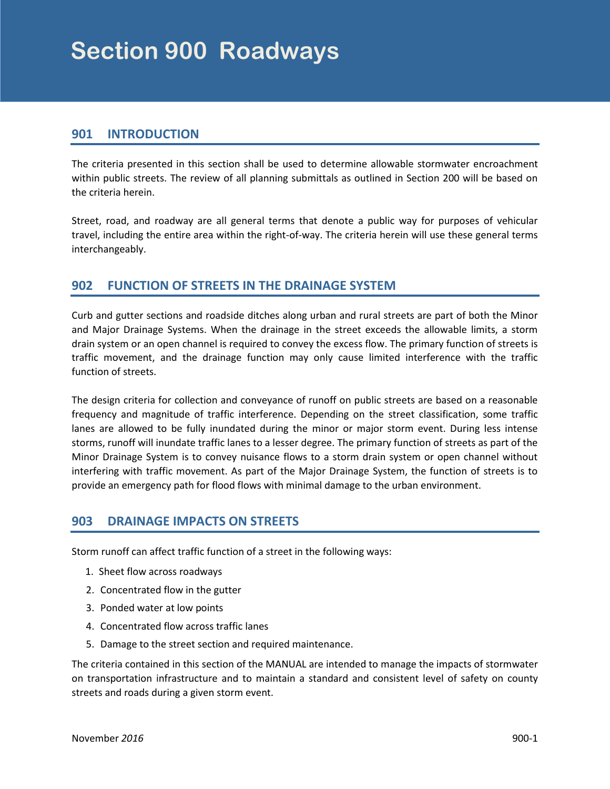### <span id="page-2-0"></span>**901 INTRODUCTION**

The criteria presented in this section shall be used to determine allowable stormwater encroachment within public streets. The review of all planning submittals as outlined in Section 200 will be based on the criteria herein.

Street, road, and roadway are all general terms that denote a public way for purposes of vehicular travel, including the entire area within the right-of-way. The criteria herein will use these general terms interchangeably.

# **902 FUNCTION OF STREETS IN THE DRAINAGE SYSTEM**

Curb and gutter sections and roadside ditches along urban and rural streets are part of both the Minor and Major Drainage Systems. When the drainage in the street exceeds the allowable limits, a storm drain system or an open channel is required to convey the excess flow. The primary function of streets is traffic movement, and the drainage function may only cause limited interference with the traffic function of streets.

The design criteria for collection and conveyance of runoff on public streets are based on a reasonable frequency and magnitude of traffic interference. Depending on the street classification, some traffic lanes are allowed to be fully inundated during the minor or major storm event. During less intense storms, runoff will inundate traffic lanes to a lesser degree. The primary function of streets as part of the Minor Drainage System is to convey nuisance flows to a storm drain system or open channel without interfering with traffic movement. As part of the Major Drainage System, the function of streets is to provide an emergency path for flood flows with minimal damage to the urban environment.

# **903 DRAINAGE IMPACTS ON STREETS**

Storm runoff can affect traffic function of a street in the following ways:

- 1. Sheet flow across roadways
- 2. Concentrated flow in the gutter
- 3. Ponded water at low points
- 4. Concentrated flow across traffic lanes
- 5. Damage to the street section and required maintenance.

The criteria contained in this section of the MANUAL are intended to manage the impacts of stormwater on transportation infrastructure and to maintain a standard and consistent level of safety on county streets and roads during a given storm event.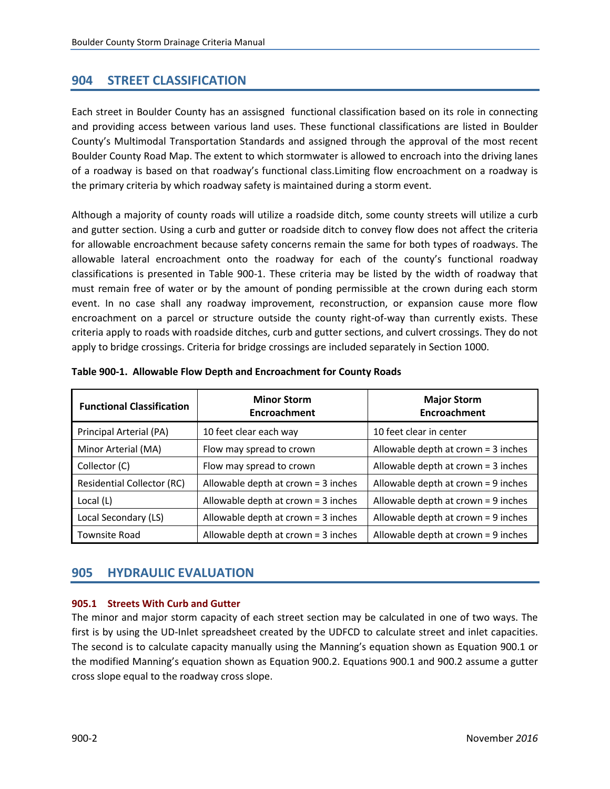# <span id="page-3-0"></span>**904 STREET CLASSIFICATION**

Each street in Boulder County has an assisgned functional classification based on its role in connecting and providing access between various land uses. These functional classifications are listed in Boulder County's Multimodal Transportation Standards and assigned through the approval of the most recent Boulder County Road Map. The extent to which stormwater is allowed to encroach into the driving lanes of a roadway is based on that roadway's functional class.Limiting flow encroachment on a roadway is the primary criteria by which roadway safety is maintained during a storm event.

Although a majority of county roads will utilize a roadside ditch, some county streets will utilize a curb and gutter section. Using a curb and gutter or roadside ditch to convey flow does not affect the criteria for allowable encroachment because safety concerns remain the same for both types of roadways. The allowable lateral encroachment onto the roadway for each of the county's functional roadway classifications is presented in Table 900-1. These criteria may be listed by the width of roadway that must remain free of water or by the amount of ponding permissible at the crown during each storm event. In no case shall any roadway improvement, reconstruction, or expansion cause more flow encroachment on a parcel or structure outside the county right-of-way than currently exists. These criteria apply to roads with roadside ditches, curb and gutter sections, and culvert crossings. They do not apply to bridge crossings. Criteria for bridge crossings are included separately in Section 1000.

| <b>Functional Classification</b>  | <b>Minor Storm</b><br><b>Encroachment</b> | <b>Major Storm</b><br>Encroachment    |
|-----------------------------------|-------------------------------------------|---------------------------------------|
| Principal Arterial (PA)           | 10 feet clear each way                    | 10 feet clear in center               |
| Minor Arterial (MA)               | Flow may spread to crown                  | Allowable depth at crown $=$ 3 inches |
| Collector (C)                     | Flow may spread to crown                  | Allowable depth at crown $=$ 3 inches |
| <b>Residential Collector (RC)</b> | Allowable depth at crown = 3 inches       | Allowable depth at crown $= 9$ inches |
| Local (L)                         | Allowable depth at crown = 3 inches       | Allowable depth at crown = 9 inches   |
| Local Secondary (LS)              | Allowable depth at crown = 3 inches       | Allowable depth at crown = 9 inches   |
| <b>Townsite Road</b>              | Allowable depth at crown = 3 inches       | Allowable depth at crown = 9 inches   |

#### **Table 900-1. Allowable Flow Depth and Encroachment for County Roads**

# **905 HYDRAULIC EVALUATION**

#### **905.1 Streets With Curb and Gutter**

The minor and major storm capacity of each street section may be calculated in one of two ways. The first is by using the UD-Inlet spreadsheet created by the UDFCD to calculate street and inlet capacities. The second is to calculate capacity manually using the Manning's equation shown as Equation 900.1 or the modified Manning's equation shown as Equation 900.2. Equations 900.1 and 900.2 assume a gutter cross slope equal to the roadway cross slope.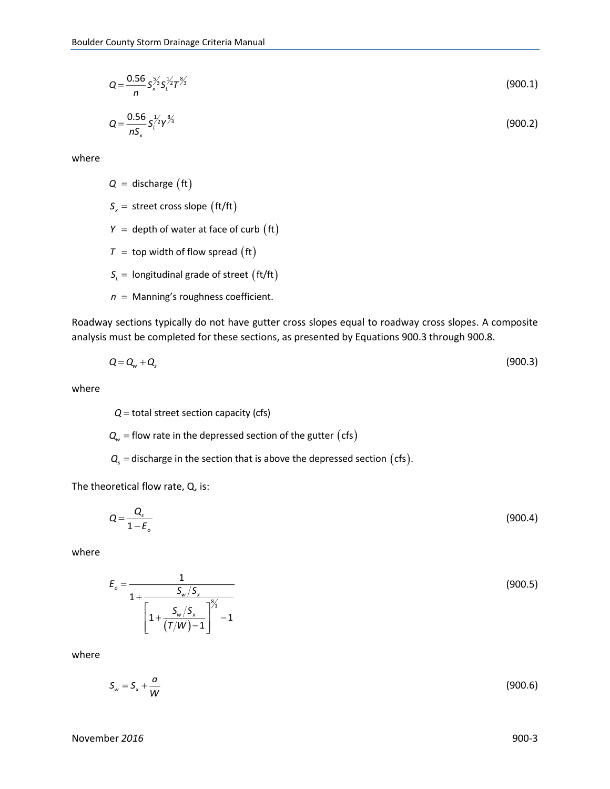$$
Q = \frac{0.56}{n} S_x^{\frac{5}{2}} S_l^{\frac{1}{2}} T^{\frac{8}{2}} \tag{900.1}
$$

$$
Q = \frac{0.56}{nS_x} S_l^{\frac{1}{2}} Y^{\frac{8}{3}} \tag{900.2}
$$

where

 $Q =$  discharge  $({\rm ft})$ 

 $S_x =$  street cross slope  $\text{(ft/ft)}$ 

- $Y =$  depth of water at face of curb  $\text{(ft)}$
- $\tau$  = top width of flow spread  $(\text{ft})$
- $S_{\iota}$  = longitudinal grade of street  $\int$  (ft/ft)
- $n =$  Manning's roughness coefficient.

Roadway sections typically do not have gutter cross slopes equal to roadway cross slopes. A composite analysis must be completed for these sections, as presented by Equations 900.3 through 900.8.

$$
Q = Q_w + Q_s \tag{900.3}
$$

where

 $Q$  = total street section capacity (cfs)

 $\textit{\textbf{Q}}_{\textit{w}}$  = flow rate in the depressed section of the gutter  $\big( \text{cfs} \big)$ 

 $\textbf{Q}_{\text{s}}$  = discharge in the section that is above the depressed section  $( \mathsf{cfs} ).$ 

The theoretical flow rate, Q, is:

$$
Q = \frac{Q_s}{1 - E_o} \tag{900.4}
$$

where

$$
E_o = \frac{1}{1 + \frac{S_w / S_x}{\left[1 + \frac{S_w / S_x}{(T/W) - 1}\right]^{\frac{8}{3}} - 1}}
$$
(900.5)

where

$$
S_w = S_x + \frac{a}{W} \tag{900.6}
$$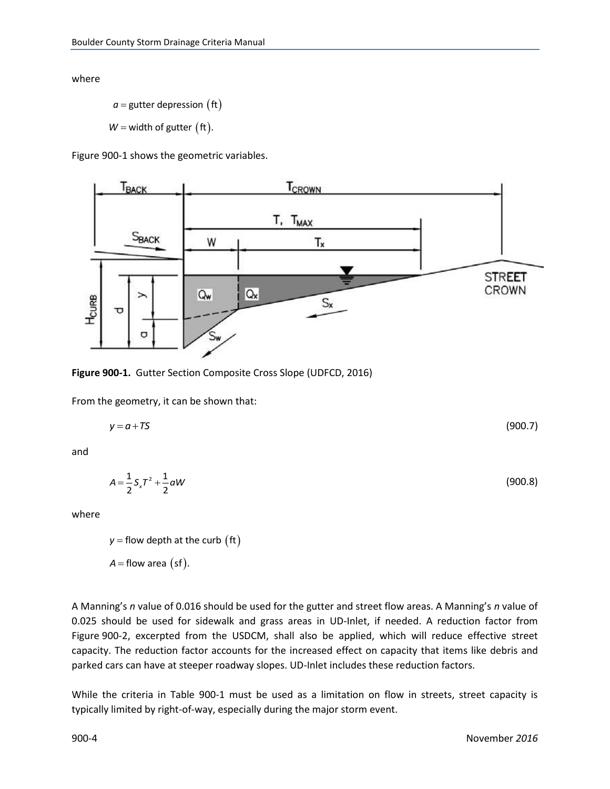<span id="page-5-0"></span>where

$$
a =
$$
gutter depression (ft)

 $W$  = width of gutter  $({\sf ft})$ .

Figure 900-1 shows the geometric variables.



**Figure 900-1.** Gutter Section Composite Cross Slope (UDFCD, 2016)

From the geometry, it can be shown that:

$$
y = a + TS \tag{900.7}
$$

and

$$
A = \frac{1}{2} S_x T^2 + \frac{1}{2} aW
$$
 (900.8)

where

 $y$  = flow depth at the curb  $\begin{pmatrix} \text{ft} \end{pmatrix}$  $A =$  flow area  $(sf)$ .

A Manning's *n* value of 0.016 should be used for the gutter and street flow areas. A Manning's *n* value of 0.025 should be used for sidewalk and grass areas in UD-Inlet, if needed. A reduction factor from Figure 900-2, excerpted from the USDCM, shall also be applied, which will reduce effective street capacity. The reduction factor accounts for the increased effect on capacity that items like debris and parked cars can have at steeper roadway slopes. UD-Inlet includes these reduction factors.

While the criteria in Table 900-1 must be used as a limitation on flow in streets, street capacity is typically limited by right-of-way, especially during the major storm event.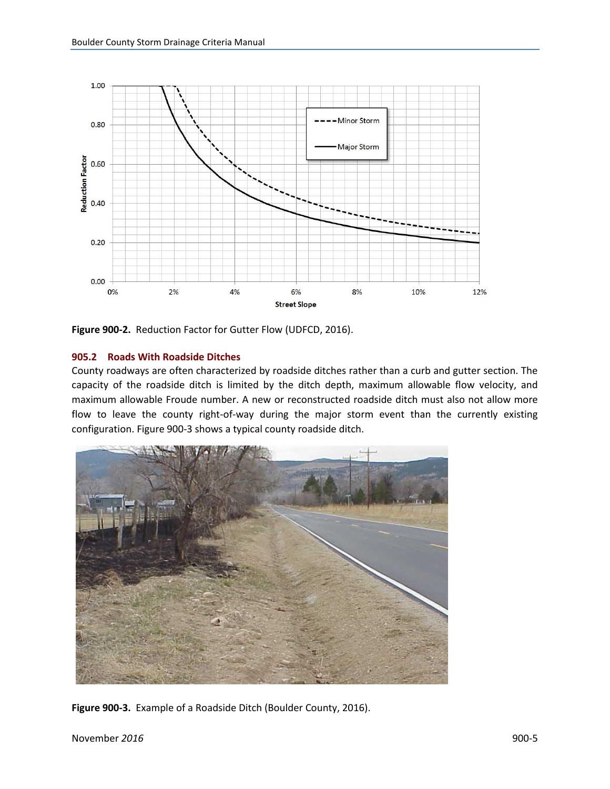<span id="page-6-0"></span>

**Figure 900-2.** Reduction Factor for Gutter Flow (UDFCD, 2016).

#### **905.2 Roads With Roadside Ditches**

County roadways are often characterized by roadside ditches rather than a curb and gutter section. The capacity of the roadside ditch is limited by the ditch depth, maximum allowable flow velocity, and maximum allowable Froude number. A new or reconstructed roadside ditch must also not allow more flow to leave the county right-of-way during the major storm event than the currently existing configuration. Figure 900-3 shows a typical county roadside ditch.



**Figure 900-3.** Example of a Roadside Ditch (Boulder County, 2016).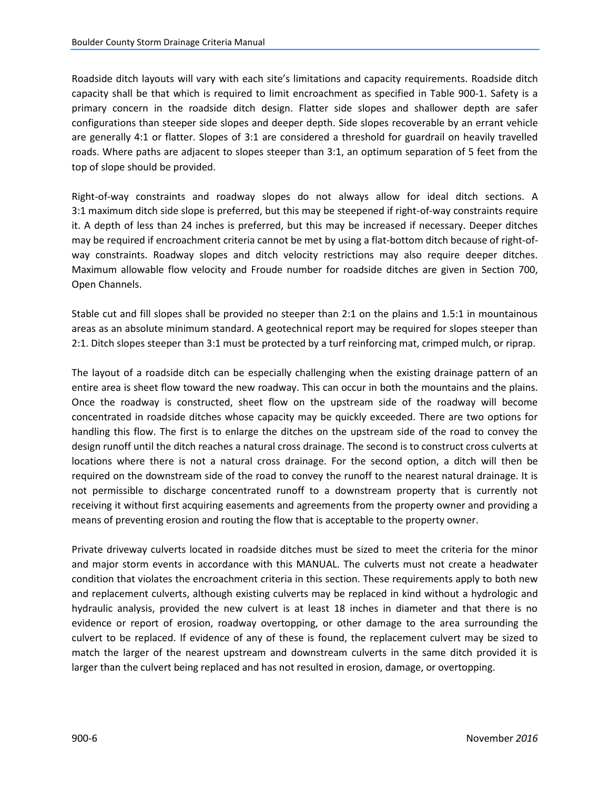Roadside ditch layouts will vary with each site's limitations and capacity requirements. Roadside ditch capacity shall be that which is required to limit encroachment as specified in Table 900-1. Safety is a primary concern in the roadside ditch design. Flatter side slopes and shallower depth are safer configurations than steeper side slopes and deeper depth. Side slopes recoverable by an errant vehicle are generally 4:1 or flatter. Slopes of 3:1 are considered a threshold for guardrail on heavily travelled roads. Where paths are adjacent to slopes steeper than 3:1, an optimum separation of 5 feet from the top of slope should be provided.

Right-of-way constraints and roadway slopes do not always allow for ideal ditch sections. A 3:1 maximum ditch side slope is preferred, but this may be steepened if right-of-way constraints require it. A depth of less than 24 inches is preferred, but this may be increased if necessary. Deeper ditches may be required if encroachment criteria cannot be met by using a flat-bottom ditch because of right-ofway constraints. Roadway slopes and ditch velocity restrictions may also require deeper ditches. Maximum allowable flow velocity and Froude number for roadside ditches are given in Section 700, Open Channels.

Stable cut and fill slopes shall be provided no steeper than 2:1 on the plains and 1.5:1 in mountainous areas as an absolute minimum standard. A geotechnical report may be required for slopes steeper than 2:1. Ditch slopes steeper than 3:1 must be protected by a turf reinforcing mat, crimped mulch, or riprap.

The layout of a roadside ditch can be especially challenging when the existing drainage pattern of an entire area is sheet flow toward the new roadway. This can occur in both the mountains and the plains. Once the roadway is constructed, sheet flow on the upstream side of the roadway will become concentrated in roadside ditches whose capacity may be quickly exceeded. There are two options for handling this flow. The first is to enlarge the ditches on the upstream side of the road to convey the design runoff until the ditch reaches a natural cross drainage. The second is to construct cross culverts at locations where there is not a natural cross drainage. For the second option, a ditch will then be required on the downstream side of the road to convey the runoff to the nearest natural drainage. It is not permissible to discharge concentrated runoff to a downstream property that is currently not receiving it without first acquiring easements and agreements from the property owner and providing a means of preventing erosion and routing the flow that is acceptable to the property owner.

Private driveway culverts located in roadside ditches must be sized to meet the criteria for the minor and major storm events in accordance with this MANUAL. The culverts must not create a headwater condition that violates the encroachment criteria in this section. These requirements apply to both new and replacement culverts, although existing culverts may be replaced in kind without a hydrologic and hydraulic analysis, provided the new culvert is at least 18 inches in diameter and that there is no evidence or report of erosion, roadway overtopping, or other damage to the area surrounding the culvert to be replaced. If evidence of any of these is found, the replacement culvert may be sized to match the larger of the nearest upstream and downstream culverts in the same ditch provided it is larger than the culvert being replaced and has not resulted in erosion, damage, or overtopping.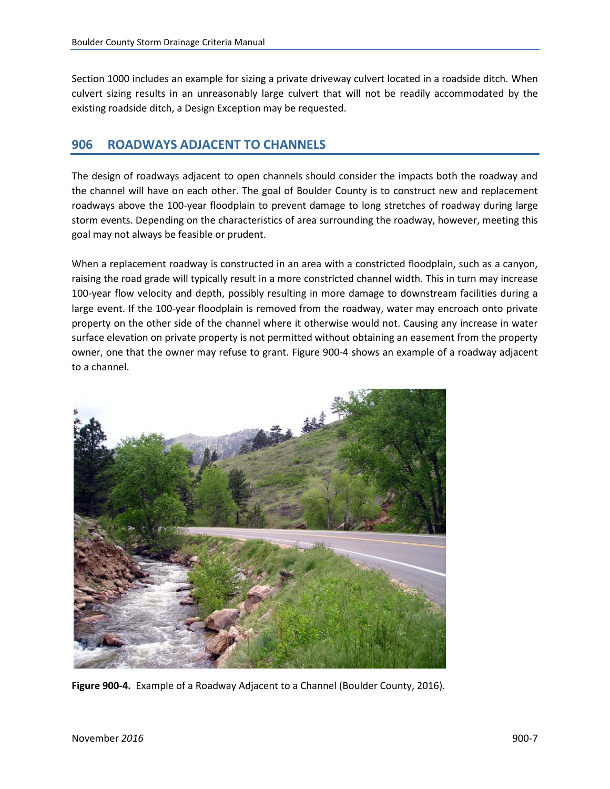<span id="page-8-0"></span>Section 1000 includes an example for sizing a private driveway culvert located in a roadside ditch. When culvert sizing results in an unreasonably large culvert that will not be readily accommodated by the existing roadside ditch, a Design Exception may be requested.

### **906 ROADWAYS ADJACENT TO CHANNELS**

The design of roadways adjacent to open channels should consider the impacts both the roadway and the channel will have on each other. The goal of Boulder County is to construct new and replacement roadways above the 100-year floodplain to prevent damage to long stretches of roadway during large storm events. Depending on the characteristics of area surrounding the roadway, however, meeting this goal may not always be feasible or prudent.

When a replacement roadway is constructed in an area with a constricted floodplain, such as a canyon, raising the road grade will typically result in a more constricted channel width. This in turn may increase 100-year flow velocity and depth, possibly resulting in more damage to downstream facilities during a large event. If the 100-year floodplain is removed from the roadway, water may encroach onto private property on the other side of the channel where it otherwise would not. Causing any increase in water surface elevation on private property is not permitted without obtaining an easement from the property owner, one that the owner may refuse to grant. Figure 900-4 shows an example of a roadway adjacent to a channel.



**Figure 900-4.** Example of a Roadway Adjacent to a Channel (Boulder County, 2016).